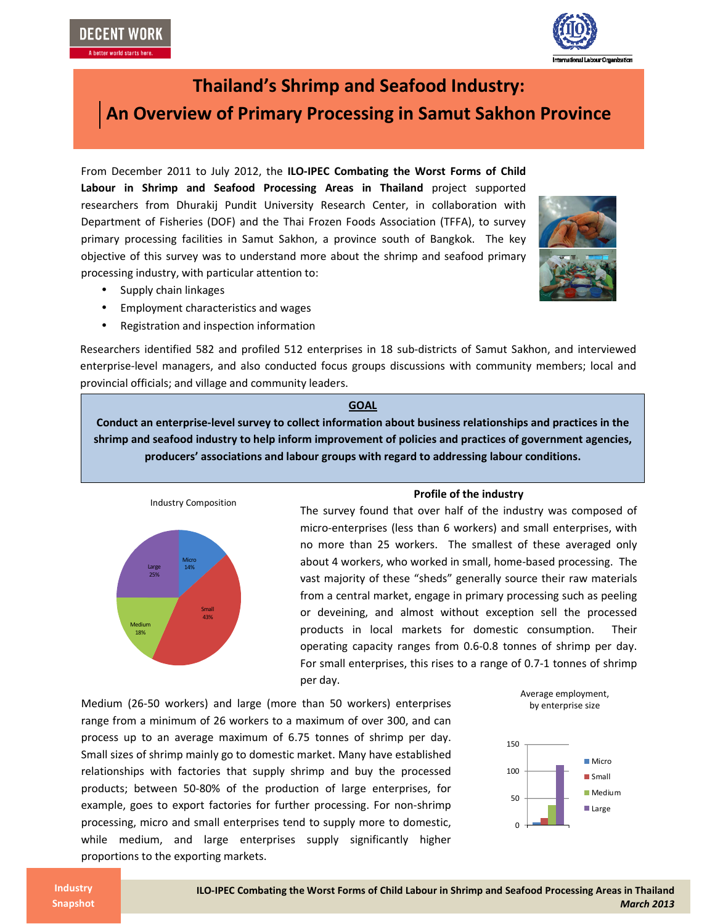**DECENT WORK** 



# **Thailand's Shrimp and Seafood Industry: An Overview of Primary Processing in Samut Sakhon Province**

From December 2011 to July 2012, the **ILO-IPEC Combating the Worst Forms of Child Labour in Shrimp and Seafood Processing Areas in Thailand** project supported researchers from Dhurakij Pundit University Research Center, in collaboration with Department of Fisheries (DOF) and the Thai Frozen Foods Association (TFFA), to survey primary processing facilities in Samut Sakhon, a province south of Bangkok. The key objective of this survey was to understand more about the shrimp and seafood primary processing industry, with particular attention to:

- Supply chain linkages
- Employment characteristics and wages
- Registration and inspection information

Researchers identified 582 and profiled 512 enterprises in 18 sub-districts of Samut Sakhon, and interviewed enterprise-level managers, and also conducted focus groups discussions with community members; local and provincial officials; and village and community leaders.

## **GOAL**

**Conduct an enterprise-level survey to collect information about business relationships and practices in the shrimp and seafood industry to help inform improvement of policies and practices of government agencies, producers' associations and labour groups with regard to addressing labour conditions.** 



## **Profile of the industry**

The survey found that over half of the industry was composed of micro-enterprises (less than 6 workers) and small enterprises, with no more than 25 workers. The smallest of these averaged only about 4 workers, who worked in small, home-based processing. The vast majority of these "sheds" generally source their raw materials from a central market, engage in primary processing such as peeling or deveining, and almost without exception sell the processed products in local markets for domestic consumption. Their operating capacity ranges from 0.6-0.8 tonnes of shrimp per day. For small enterprises, this rises to a range of 0.7-1 tonnes of shrimp per day.

Medium (26-50 workers) and large (more than 50 workers) enterprises range from a minimum of 26 workers to a maximum of over 300, and can process up to an average maximum of 6.75 tonnes of shrimp per day. Small sizes of shrimp mainly go to domestic market. Many have established relationships with factories that supply shrimp and buy the processed products; between 50-80% of the production of large enterprises, for example, goes to export factories for further processing. For non-shrimp processing, micro and small enterprises tend to supply more to domestic, while medium, and large enterprises supply significantly higher proportions to the exporting markets.





**Industry Snapshot**

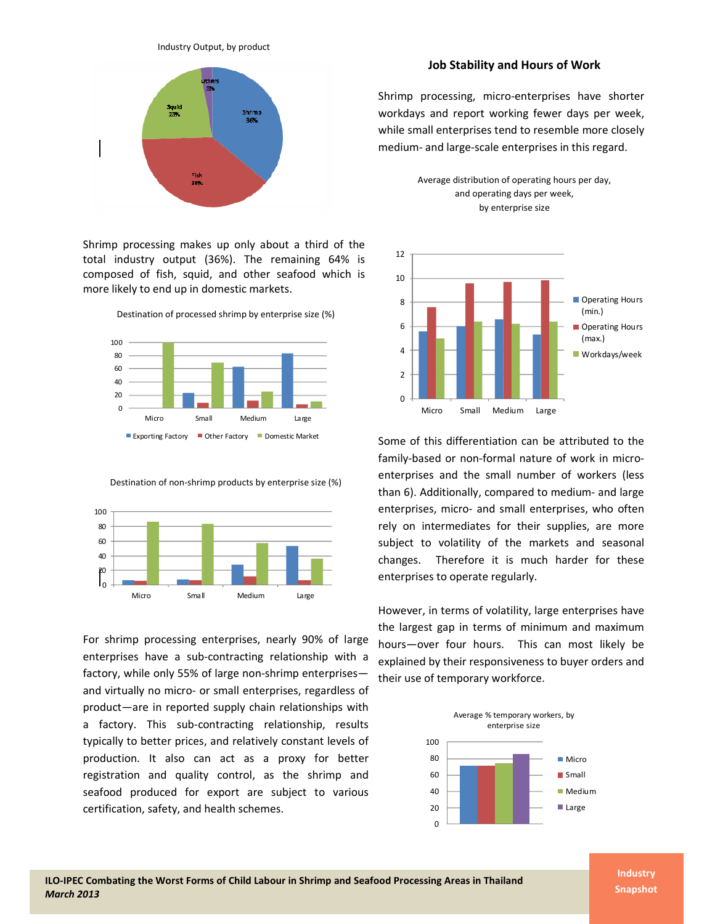



Shrimp processing makes up only about a third of the total industry output (36%). The remaining 64% is composed of fish, squid, and other seafood which is more likely to end up in domestic markets.

Destination of processed shrimp by enterprise size (%)



Destination of non-shrimp products by enterprise size (%)



For shrimp processing enterprises, nearly 90% of large enterprises have a sub-contracting relationship with a factory, while only 55% of large non-shrimp enterprises and virtually no micro- or small enterprises, regardless of product—are in reported supply chain relationships with a factory. This sub-contracting relationship, results typically to better prices, and relatively constant levels of production. It also can act as a proxy for better registration and quality control, as the shrimp and seafood produced for export are subject to various certification, safety, and health schemes.

## **Job Stability and Hours of Work**

Shrimp processing, micro-enterprises have shorter workdays and report working fewer days per week, while small enterprises tend to resemble more closely medium- and large-scale enterprises in this regard.





Some of this differentiation can be attributed to the family-based or non-formal nature of work in microenterprises and the small number of workers (less than 6). Additionally, compared to medium- and large enterprises, micro- and small enterprises, who often rely on intermediates for their supplies, are more subject to volatility of the markets and seasonal changes. Therefore it is much harder for these enterprises to operate regularly.

However, in terms of volatility, large enterprises have the largest gap in terms of minimum and maximum hours—over four hours. This can most likely be explained by their responsiveness to buyer orders and their use of temporary workforce.



**Industry Snapshot**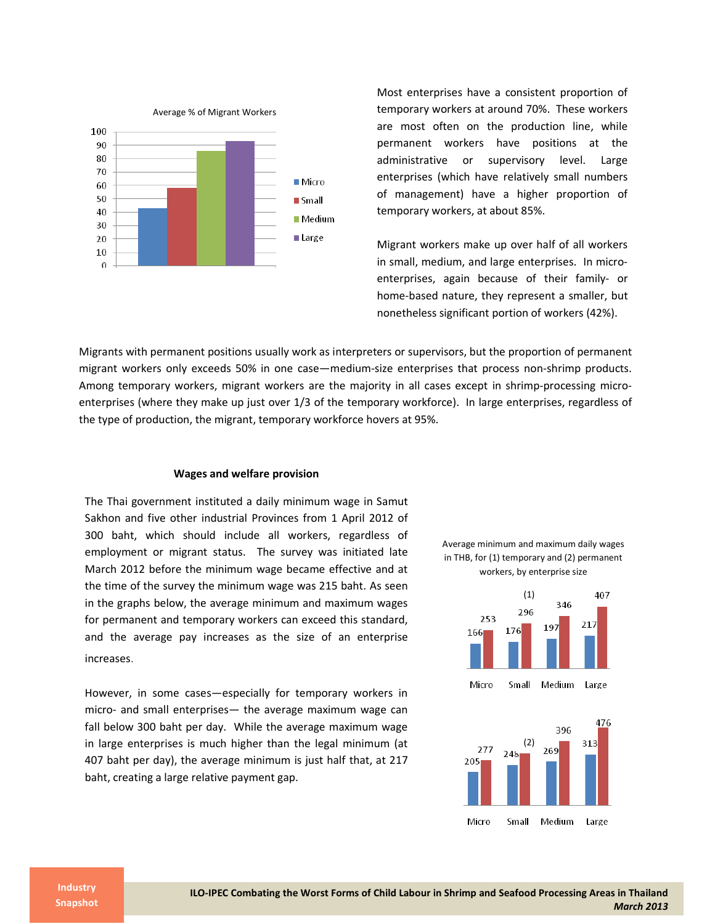

Most enterprises have a consistent proportion of temporary workers at around 70%. These workers are most often on the production line, while permanent workers have positions at the administrative or supervisory level. Large enterprises (which have relatively small numbers of management) have a higher proportion of temporary workers, at about 85%.

Migrant workers make up over half of all workers in small, medium, and large enterprises. In microenterprises, again because of their family- or home-based nature, they represent a smaller, but nonetheless significant portion of workers (42%).

Migrants with permanent positions usually work as interpreters or supervisors, but the proportion of permanent migrant workers only exceeds 50% in one case—medium-size enterprises that process non-shrimp products. Among temporary workers, migrant workers are the majority in all cases except in shrimp-processing microenterprises (where they make up just over 1/3 of the temporary workforce). In large enterprises, regardless of the type of production, the migrant, temporary workforce hovers at 95%.

#### **Wages and welfare provision**

The Thai government instituted a daily minimum wage in Samut Sakhon and five other industrial Provinces from 1 April 2012 of 300 baht, which should include all workers, regardless of employment or migrant status. The survey was initiated late March 2012 before the minimum wage became effective and at the time of the survey the minimum wage was 215 baht. As seen in the graphs below, the average minimum and maximum wages for permanent and temporary workers can exceed this standard, and the average pay increases as the size of an enterprise increases.

However, in some cases—especially for temporary workers in micro- and small enterprises— the average maximum wage can fall below 300 baht per day. While the average maximum wage in large enterprises is much higher than the legal minimum (at 407 baht per day), the average minimum is just half that, at 217 baht, creating a large relative payment gap.





**Industry Snapshot**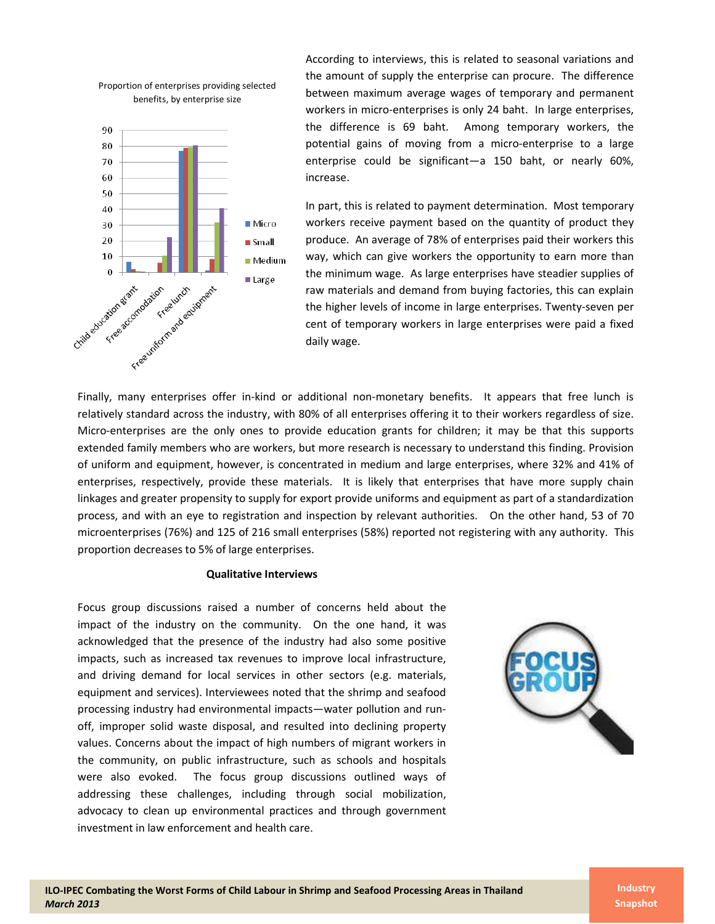

Proportion of enterprises providing selected

According to interviews, this is related to seasonal variations and the amount of supply the enterprise can procure. The difference between maximum average wages of temporary and permanent workers in micro-enterprises is only 24 baht. In large enterprises, the difference is 69 baht. Among temporary workers, the potential gains of moving from a micro-enterprise to a large enterprise could be significant—a 150 baht, or nearly 60%, increase.

In part, this is related to payment determination. Most temporary workers receive payment based on the quantity of product they produce. An average of 78% of enterprises paid their workers this way, which can give workers the opportunity to earn more than the minimum wage. As large enterprises have steadier supplies of raw materials and demand from buying factories, this can explain the higher levels of income in large enterprises. Twenty-seven per cent of temporary workers in large enterprises were paid a fixed daily wage.

Finally, many enterprises offer in-kind or additional non-monetary benefits. It appears that free lunch is relatively standard across the industry, with 80% of all enterprises offering it to their workers regardless of size. Micro-enterprises are the only ones to provide education grants for children; it may be that this supports extended family members who are workers, but more research is necessary to understand this finding. Provision of uniform and equipment, however, is concentrated in medium and large enterprises, where 32% and 41% of enterprises, respectively, provide these materials. It is likely that enterprises that have more supply chain linkages and greater propensity to supply for export provide uniforms and equipment as part of a standardization process, and with an eye to registration and inspection by relevant authorities. On the other hand, 53 of 70 microenterprises (76%) and 125 of 216 small enterprises (58%) reported not registering with any authority. This proportion decreases to 5% of large enterprises.

#### **Qualitative Interviews**

Focus group discussions raised a number of concerns held about the impact of the industry on the community. On the one hand, it was acknowledged that the presence of the industry had also some positive impacts, such as increased tax revenues to improve local infrastructure, and driving demand for local services in other sectors (e.g. materials, equipment and services). Interviewees noted that the shrimp and seafood processing industry had environmental impacts—water pollution and runoff, improper solid waste disposal, and resulted into declining property values. Concerns about the impact of high numbers of migrant workers in the community, on public infrastructure, such as schools and hospitals were also evoked. The focus group discussions outlined ways of addressing these challenges, including through social mobilization, advocacy to clean up environmental practices and through government investment in law enforcement and health care.